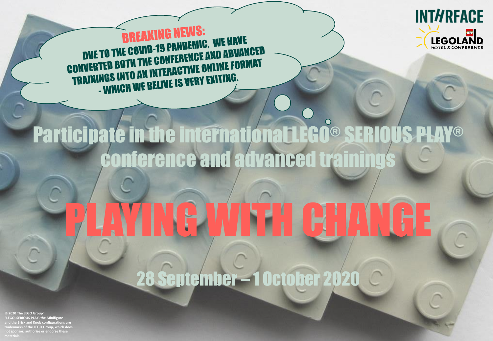

**BREAKING NEWS: BREAKING NEWS:<br>DUE TO THE COVID-19 PANDEMIC, WE HAVE<br>CONVERTED BOTH THE CONFERENCE AND ADVANCED<br>CONVERTED BOTH THE CONFERENCE AND ADVANCED DUE TO THE COOLERENCE AND ADVANCED**<br>CONVERTED BOTH THE CONFERENCE ONLINE FORMAT<br>TRAININGS INTO AN INTERACTIVE ONLINE FORMAT<br>- WHICH WE BELIVE IS VERY EXITING.

# Participate in the international LEGO® SERIOUS PLAY® conference and advanced training

# PLAYING WITH CHANGE

28 September – 1 October 2020

**© 2020 The LEGO Group". "LEGO, SERIOUS PLAY, the Minifigure and the Brick and Knob configurations are trademarks of the LEGO Group, which does not sponsor, authorize or endorse these**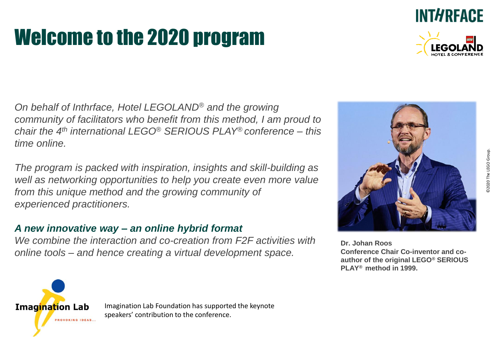# Welcome to the 2020 program

*On behalf of Inthrface, Hotel LEGOLAND® and the growing community of facilitators who benefit from this method, I am proud to chair the 4th international LEGO® SERIOUS PLAY® conference – this time online.*

*The program is packed with inspiration, insights and skill-building as well as networking opportunities to help you create even more value from this unique method and the growing community of experienced practitioners.*

#### *A new innovative way – an online hybrid format*

*We combine the interaction and co-creation from F2F activities with online tools – and hence creating a virtual development space.*

**Dr. Johan Roos Conference Chair Co-inventor and coauthor of the original LEGO® SERIOUS PLAY® method in 1999.**







**INTHRFACE** 

Imagination Lab Foundation has supported the keynote speakers' contribution to the conference.

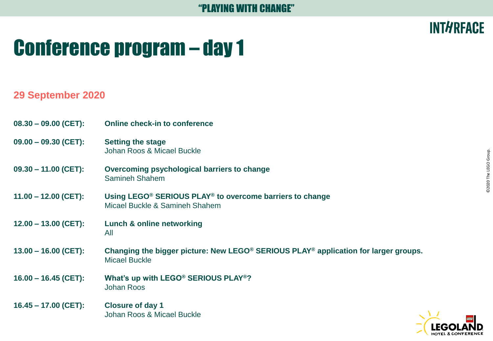### **INTHRFACE**

# Conference program – day 1

#### **29 September 2020**

| $08.30 - 09.00$ (CET): | <b>Online check-in to conference</b>                                                                                                |
|------------------------|-------------------------------------------------------------------------------------------------------------------------------------|
| $09.00 - 09.30$ (CET): | <b>Setting the stage</b><br>Johan Roos & Micael Buckle                                                                              |
| $09.30 - 11.00$ (CET): | Overcoming psychological barriers to change<br>Samineh Shahem                                                                       |
| $11.00 - 12.00$ (CET): | Using LEGO <sup>®</sup> SERIOUS PLAY <sup>®</sup> to overcome barriers to change<br>Micael Buckle & Samineh Shahem                  |
| $12.00 - 13.00$ (CET): | Lunch & online networking<br>All                                                                                                    |
| $13.00 - 16.00$ (CET): | Changing the bigger picture: New LEGO <sup>®</sup> SERIOUS PLAY <sup>®</sup> application for larger groups.<br><b>Micael Buckle</b> |
| $16.00 - 16.45$ (CET): | What's up with LEGO <sup>®</sup> SERIOUS PLAY <sup>®</sup> ?<br><b>Johan Roos</b>                                                   |
| $16.45 - 17.00$ (CET): | <b>Closure of day 1</b><br>Johan Roos & Micael Buckle                                                                               |

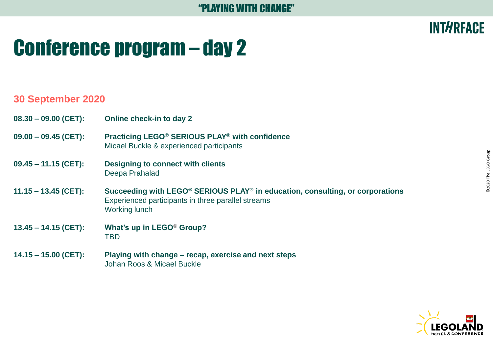# Conference program – day 2

#### **30 September 2020**

- **08.30 – 09.00 (CET): Online check-in to day 2**
- **09.00 – 09.45 (CET): Practicing LEGO® SERIOUS PLAY® with confidence** Micael Buckle & experienced participants
- **09.45 – 11.15 (CET): Designing to connect with clients** Deepa Prahalad
- **11.15 – 13.45 (CET): Succeeding with LEGO® SERIOUS PLAY® in education, consulting, or corporations** Experienced participants in three parallel streams Working lunch
- **13.45 – 14.15 (CET): What's up in LEGO***®* **Group?** TBD
- **14.15 – 15.00 (CET): Playing with change – recap, exercise and next steps** Johan Roos & Micael Buckle



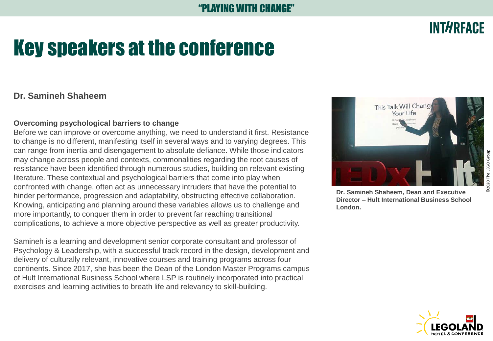## Key speakers at the conference

#### **Dr. Samineh Shaheem**

#### **Overcoming psychological barriers to change**

Before we can improve or overcome anything, we need to understand it first. Resistance to change is no different, manifesting itself in several ways and to varying degrees. This can range from inertia and disengagement to absolute defiance. While those indicators may change across people and contexts, commonalities regarding the root causes of resistance have been identified through numerous studies, building on relevant existing literature. These contextual and psychological barriers that come into play when confronted with change, often act as unnecessary intruders that have the potential to hinder performance, progression and adaptability, obstructing effective collaboration. Knowing, anticipating and planning around these variables allows us to challenge and more importantly, to conquer them in order to prevent far reaching transitional complications, to achieve a more objective perspective as well as greater productivity.

Samineh is a learning and development senior corporate consultant and professor of Psychology & Leadership, with a successful track record in the design, development and delivery of culturally relevant, innovative courses and training programs across four continents. Since 2017, she has been the Dean of the London Master Programs campus of Hult International Business School where LSP is routinely incorporated into practical exercises and learning activities to breath life and relevancy to skill-building.



This Talk Will Chang Your Life

**Director – Hult International Business School London.**



### **INTHREACE**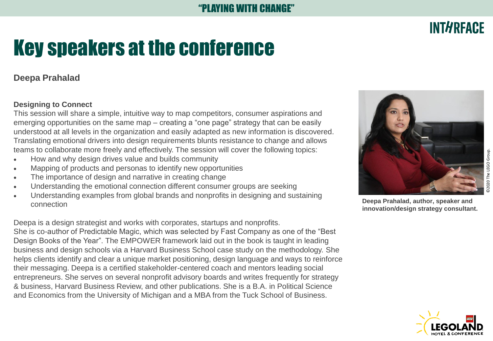# Key speakers at the conference

#### **Deepa Prahalad**

#### **Designing to Connect**

This session will share a simple, intuitive way to map competitors, consumer aspirations and emerging opportunities on the same map – creating a "one page" strategy that can be easily understood at all levels in the organization and easily adapted as new information is discovered. Translating emotional drivers into design requirements blunts resistance to change and allows teams to collaborate more freely and effectively. The session will cover the following topics:

- How and why design drives value and builds community
- Mapping of products and personas to identify new opportunities
- The importance of design and narrative in creating change
- Understanding the emotional connection different consumer groups are seeking
- Understanding examples from global brands and nonprofits in designing and sustaining connection

Deepa is a design strategist and works with corporates, startups and nonprofits. She is co-author of Predictable Magic, which was selected by Fast Company as one of the "Best Design Books of the Year". The EMPOWER framework laid out in the book is taught in leading business and design schools via a Harvard Business School case study on the methodology. She helps clients identify and clear a unique market positioning, design language and ways to reinforce their messaging. Deepa is a certified stakeholder-centered coach and mentors leading social entrepreneurs. She serves on several nonprofit advisory boards and writes frequently for strategy & business, Harvard Business Review, and other publications. She is a B.A. in Political Science and Economics from the University of Michigan and a MBA from the Tuck School of Business.



**Deepa Prahalad, author, speaker and innovation/design strategy consultant.**



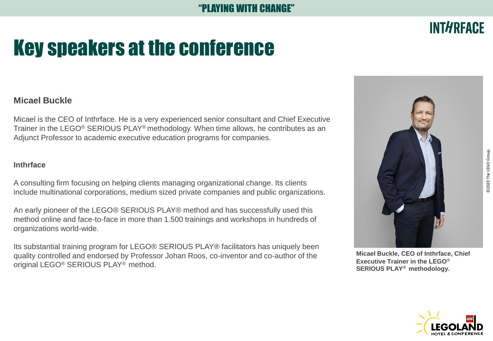# Key speakers at the conference

#### **Micael Buckle**

Micael is the CEO of Inthrface. He is a very experienced senior consultant and Chief Executive Trainer in the LEGO® SERIOUS PLAY® methodology. When time allows, he contributes as an Adjunct Professor to academic executive education programs for companies.

#### **Inthrface**

A consulting firm focusing on helping clients managing organizational change. Its clients include multinational corporations, medium sized private companies and public organizations.

An early pioneer of the LEGO® SERIOUS PLAY® method and has successfully used this method online and face-to-face in more than 1.500 trainings and workshops in hundreds of organizations world-wide.

Its substantial training program for LEGO® SERIOUS PLAY® facilitators has uniquely been quality controlled and endorsed by Professor Johan Roos, co-inventor and co-author of the original LEGO® SERIOUS PLAY® method.







©2020 The LEGO Group.

D2020 The LEGO Group.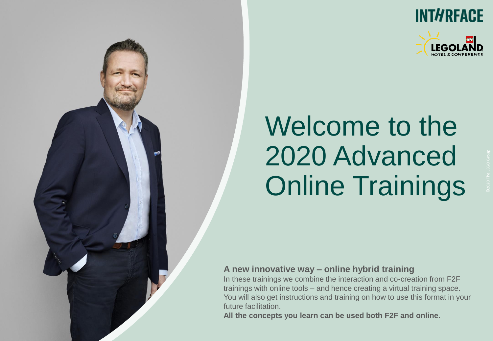



# Welcome to the 2020 Advanced Online Trainings

#### **A new innovative way – online hybrid training**

In these trainings we combine the interaction and co-creation from F2F trainings with online tools – and hence creating a virtual training space. You will also get instructions and training on how to use this format in your future facilitation.

**All the concepts you learn can be used both F2F and online.**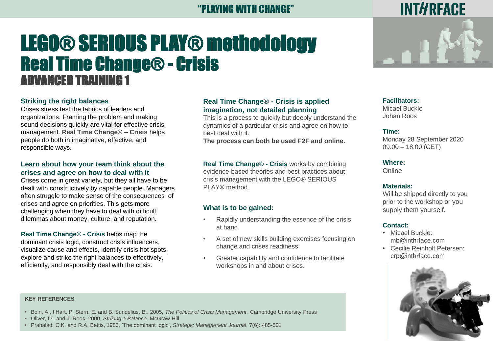### LEGO® SERIOUS PLAY® methodology Real Time Change® - Crisis ADVANCED TRAINING 1

#### **Striking the right balances**

Crises stress test the fabrics of leaders and organizations. Framing the problem and making sound decisions quickly are vital for effective crisis management. **Real Time Change**® **– Crisis** helps people do both in imaginative, effective, and responsible ways.

#### **Learn about how your team think about the crises and agree on how to deal with it**

Crises come in great variety, but they all have to be dealt with constructively by capable people. Managers often struggle to make sense of the consequences of crises and agree on priorities. This gets more challenging when they have to deal with difficult dilemmas about money, culture, and reputation.

**Real Time Change**® **- Crisis** helps map the dominant crisis logic, construct crisis influencers, visualize cause and effects, identify crisis hot spots, explore and strike the right balances to effectively, efficiently, and responsibly deal with the crisis.

#### **Real Time Change**® **- Crisis is applied imagination, not detailed planning**

This is a process to quickly but deeply understand the dynamics of a particular crisis and agree on how to best deal with it.

**The process can both be used F2F and online.**

**Real Time Change**® **- Crisis** works by combining evidence-based theories and best practices about crisis management with the LEGO® SERIOUS PLAY® method.

#### **What is to be gained:**

- Rapidly understanding the essence of the crisis at hand.
- A set of new skills building exercises focusing on change and crises readiness.
- Greater capability and confidence to facilitate workshops in and about crises.

**Facilitators:** Micael Buckle Johan Roos

#### **Time:**

Monday 28 September 2020 09.00 – 18.00 (CET)

**Where:** 

**Online** 

#### **Materials:**

Will be shipped directly to you prior to the workshop or you supply them yourself.

#### **Contact:**

- Micael Buckle: mb@inthrface.com
- Cecilie Reinholt Petersen: crp@inthrface.com



#### **KEY REFERENCES**

- Boin, A., t'Hart, P. Stern, E. and B. Sundelius, B., 2005, *The Politics of Crisis Management,* Cambridge University Press
- Oliver, D., and J. Roos, 2000, *Striking a Balance,* McGraw-Hill
- Prahalad, C.K. and R.A. Bettis, 1986, 'The dominant logic', *Strategic Management Journal*, 7(6): 485-501

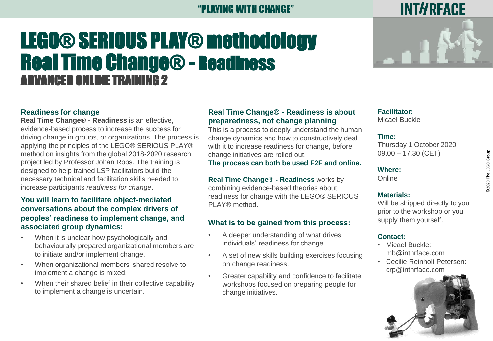#### YING WITH CHANGE"

### LEGO® SERIOUS PLAY® methodology Real Time Change® - Readiness ADVANCED ONLINE TRAINING 2



#### **Readiness for change**

**Real Time Change**® **- Readiness** is an effective, evidence-based process to increase the success for driving change in groups, or organizations. The process is applying the principles of the LEGO® SERIOUS PLAY® method on insights from the global 2018-2020 research project led by Professor Johan Roos. The training is designed to help trained LSP facilitators build the necessary technical and facilitation skills needed to increase participants *readiness for change*.

#### **You will learn to facilitate object-mediated conversations about the complex drivers of peoples' readiness to implement change, and associated group dynamics:**

- When it is unclear how psychologically and behaviourally prepared organizational members are to initiate and/or implement change.
- When organizational members' shared resolve to implement a change is mixed.
- When their shared belief in their collective capability to implement a change is uncertain.

#### **Real Time Change**® **- Readiness is about preparedness, not change planning**

This is a process to deeply understand the human change dynamics and how to constructively deal with it to increase readiness for change, before change initiatives are rolled out.

#### **The process can both be used F2F and online.**

**Real Time Change**® **- Readiness** works by combining evidence-based theories about readiness for change with the LEGO® SERIOUS PLAY® method.

#### **What is to be gained from this process:**

- A deeper understanding of what drives individuals' readiness for change.
- A set of new skills building exercises focusing on change readiness.
- Greater capability and confidence to facilitate workshops focused on preparing people for change initiatives.

#### **Facilitator:** Micael Buckle

#### **Time:**

Thursday 1 October 2020  $09.00 - 17.30$  (CET)

#### **Where:**

**Online** 

#### **Materials:**

Will be shipped directly to you prior to the workshop or you supply them yourself.

#### **Contact:**

- Micael Buckle: mb@inthrface.com
- Cecilie Reinholt Petersen: crp@inthrface.com

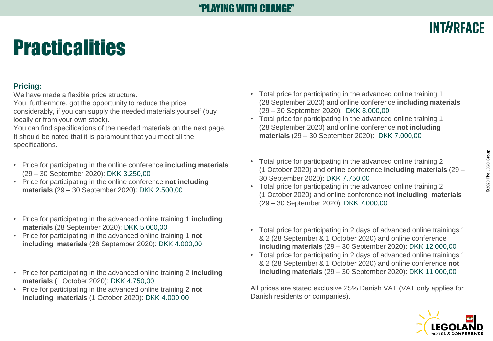# **Practicalities**

#### **Pricing:**

We have made a flexible price structure.

You, furthermore, got the opportunity to reduce the price considerably, if you can supply the needed materials yourself (buy locally or from your own stock).

You can find specifications of the needed materials on the next page. It should be noted that it is paramount that you meet all the specifications.

- Price for participating in the online conference **including materials**  (29 – 30 September 2020): DKK 3.250,00
- Price for participating in the online conference **not including materials** (29 – 30 September 2020): DKK 2.500,00
- Price for participating in the advanced online training 1 **including materials** (28 September 2020): DKK 5.000,00
- Price for participating in the advanced online training 1 **not including materials** (28 September 2020): DKK 4.000,00
- Price for participating in the advanced online training 2 **including materials** (1 October 2020): DKK 4.750,00
- Price for participating in the advanced online training 2 **not including materials** (1 October 2020): DKK 4.000,00
- Total price for participating in the advanced online training 1 (28 September 2020) and online conference **including materials**  (29 – 30 September 2020): DKK 8.000,00
- Total price for participating in the advanced online training 1 (28 September 2020) and online conference **not including materials** (29 – 30 September 2020): DKK 7.000,00
- Total price for participating in the advanced online training 2 (1 October 2020) and online conference **including materials** (29 – 30 September 2020): DKK 7.750,00
- Total price for participating in the advanced online training 2 (1 October 2020) and online conference **not including materials**  (29 – 30 September 2020): DKK 7.000,00
- D2020 The LEGO Group. ©2020 The LEGO Group.

**INTHRFACE** 

- Total price for participating in 2 days of advanced online trainings 1 & 2 (28 September & 1 October 2020) and online conference **including materials** (29 – 30 September 2020): DKK 12.000,00
- Total price for participating in 2 days of advanced online trainings 1 & 2 (28 September & 1 October 2020) and online conference **not including materials** (29 – 30 September 2020): DKK 11.000,00

All prices are stated exclusive 25% Danish VAT (VAT only applies for Danish residents or companies).